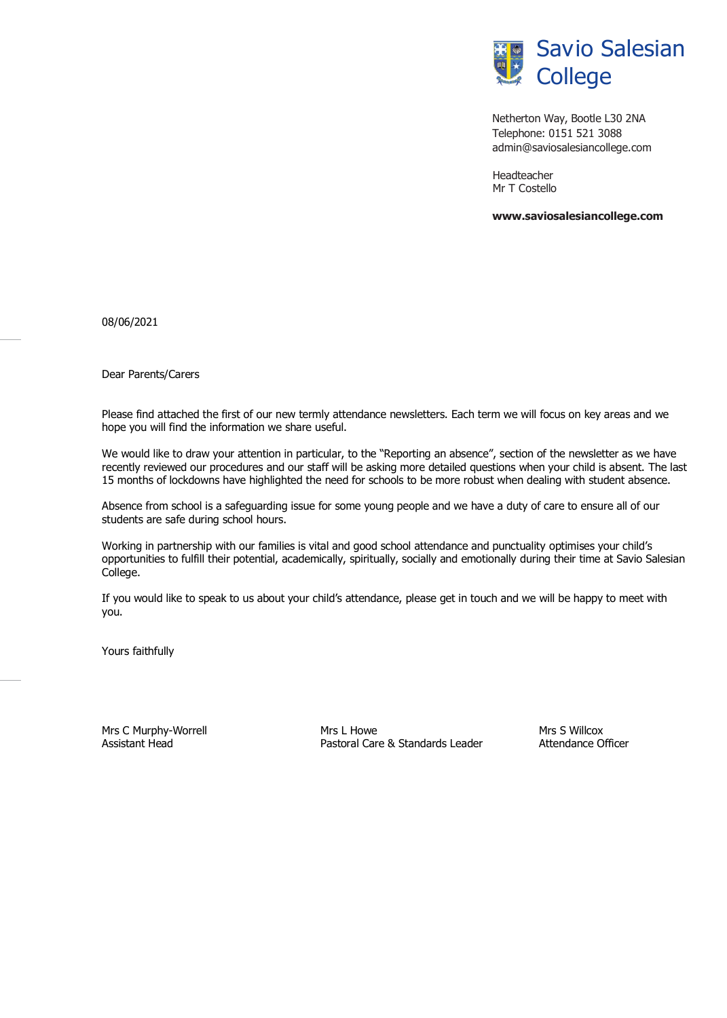

Netherton Way, Bootle L30 2NA Telephone: 0151 521 3088 [admin@saviosalesiancollege.com](mailto:admin@saviosalesiancollege.com)

Headteacher Mr T Costello

**[www.saviosalesiancollege.com](http://www.saviosalesiancollege.com/)**

08/06/2021

Dear Parents/Carers

Please find attached the first of our new termly attendance newsletters. Each term we will focus on key areas and we hope you will find the information we share useful.

We would like to draw your attention in particular, to the "Reporting an absence", section of the newsletter as we have recently reviewed our procedures and our staff will be asking more detailed questions when your child is absent. The last 15 months of lockdowns have highlighted the need for schools to be more robust when dealing with student absence.

Absence from school is a safeguarding issue for some young people and we have a duty of care to ensure all of our students are safe during school hours.

Working in partnership with our families is vital and good school attendance and punctuality optimises your child's opportunities to fulfill their potential, academically, spiritually, socially and emotionally during their time at Savio Salesian College.

If you would like to speak to us about your child's attendance, please get in touch and we will be happy to meet with you.

Yours faithfully

Mrs C Murphy-Worrell **Mrs L** Mrs L Howe Mrs S Willcox Mrs S Willcox Assistant Head **Pastoral Care & Standards Leader** Attendance Officer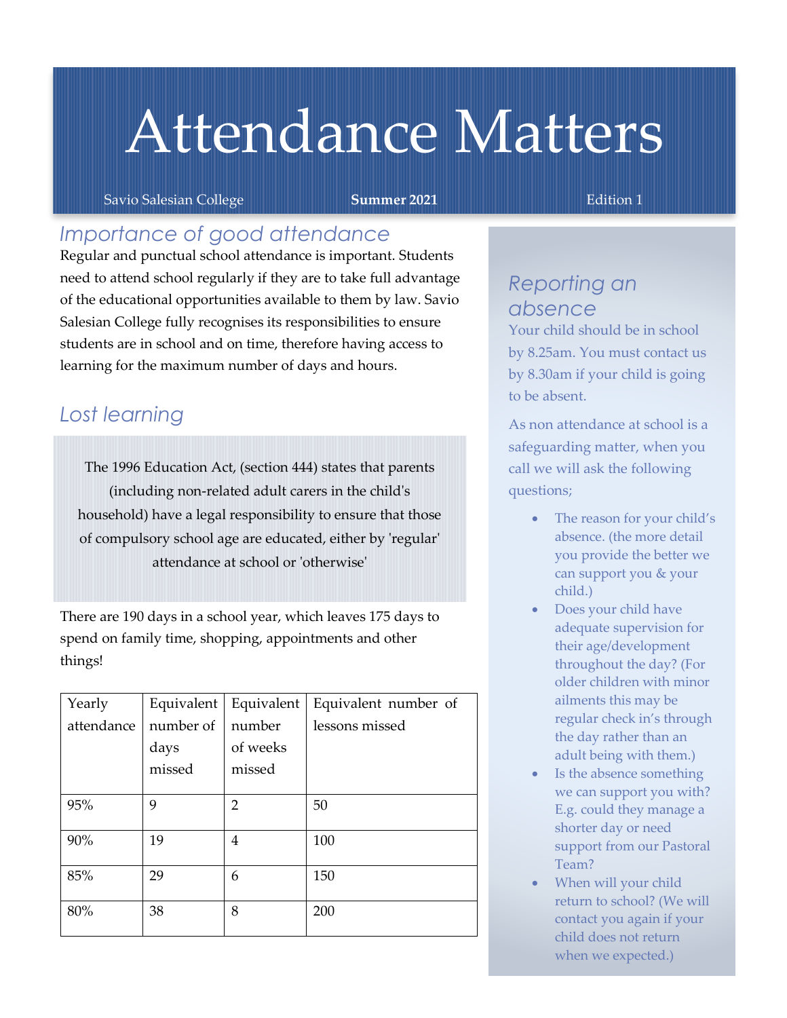# Attendance Matters

Savio Salesian College **Summer 2021 Edition 1** Edition 1

## *Importance of good attendance*

Regular and punctual school attendance is important. Students need to attend school regularly if they are to take full advantage of the educational opportunities available to them by law. Savio Salesian College fully recognises its responsibilities to ensure students are in school and on time, therefore having access to learning for the maximum number of days and hours.

## *Lost learning*

The 1996 Education Act, (section 444) states that parents (including non-related adult carers in the child's household) have a legal responsibility to ensure that those of compulsory school age are educated, either by 'regular' attendance at school or 'otherwise'

There are 190 days in a school year, which leaves 175 days to spend on family time, shopping, appointments and other things!

| Yearly     | Equivalent | Equivalent | Equivalent number of |
|------------|------------|------------|----------------------|
| attendance | number of  | number     | lessons missed       |
|            | days       | of weeks   |                      |
|            | missed     | missed     |                      |
|            |            |            |                      |
| 95%        | 9          | 2          | 50                   |
|            |            |            |                      |
| 90%        | 19         | 4          | 100                  |
|            |            |            |                      |
| 85%        | 29         | 6          | 150                  |
|            |            |            |                      |
| 80%        | 38         | 8          | 200                  |
|            |            |            |                      |

## *Reporting an absence*

Your child should be in school by 8.25am. You must contact us by 8.30am if your child is going to be absent.

As non attendance at school is a safeguarding matter, when you call we will ask the following questions;

- The reason for your child's absence. (the more detail you provide the better we can support you & your child.)
- Does your child have adequate supervision for their age/development throughout the day? (For older children with minor ailments this may be regular check in's through the day rather than an adult being with them.)
- Is the absence something we can support you with? E.g. could they manage a shorter day or need support from our Pastoral Team?
- When will your child return to school? (We will contact you again if your child does not return when we expected.)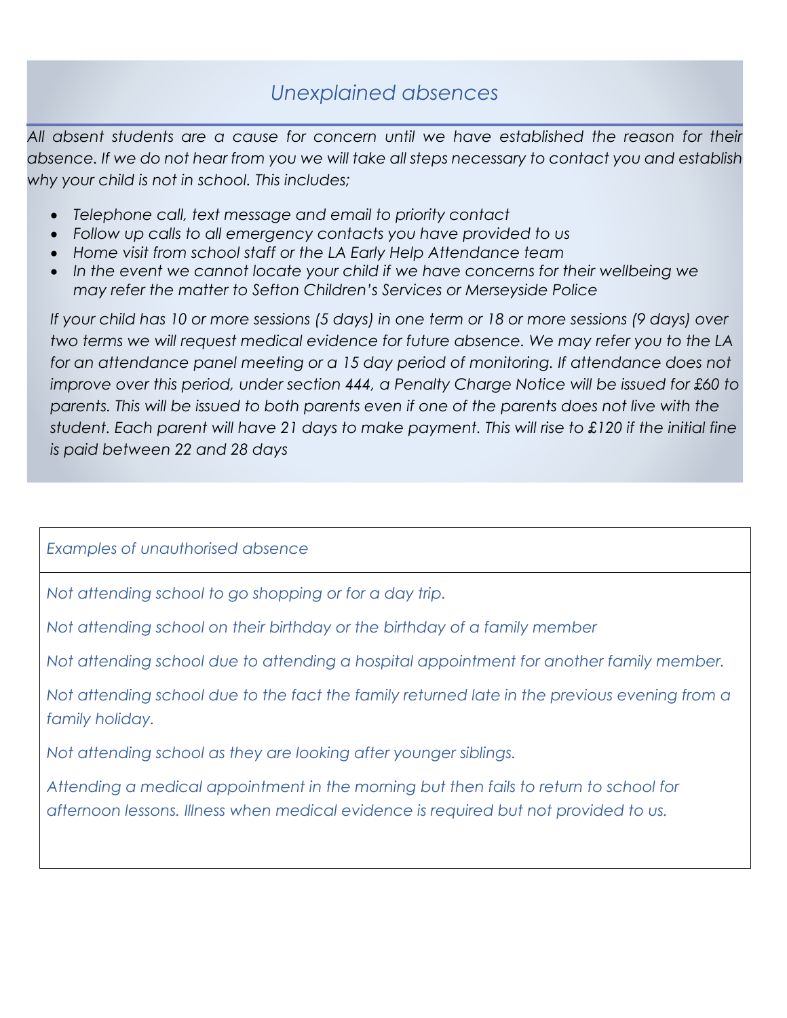# *Unexplained absences*

*All absent students are a cause for concern until we have established the reason for their absence. If we do not hear from you we will take all steps necessary to contact you and establish why your child is not in school. This includes;*

- *Telephone call, text message and email to priority contact*
- *Follow up calls to all emergency contacts you have provided to us*
- *Home visit from school staff or the LA Early Help Attendance team*
- In the event we cannot locate your child if we have concerns for their wellbeing we *may refer the matter to Sefton Children's Services or Merseyside Police*

*If your child has 10 or more sessions (5 days) in one term or 18 or more sessions (9 days) over two terms we will request medical evidence for future absence. We may refer you to the LA*  for an attendance panel meeting or a 15 day period of monitoring. If attendance does not *improve over this period, under section 444, a Penalty Charge Notice will be issued for £60 to parents. This will be issued to both parents even if one of the parents does not live with the student. Each parent will have 21 days to make payment. This will rise to £120 if the initial fine is paid between 22 and 28 days*

## *Examples of unauthorised absence*

*Not attending school to go shopping or for a day trip.*

*Not attending school on their birthday or the birthday of a family member*

*Not attending school due to attending a hospital appointment for another family member.*

*Not attending school due to the fact the family returned late in the previous evening from a family holiday.*

*Not attending school as they are looking after younger siblings.*

*Attending a medical appointment in the morning but then fails to return to school for afternoon lessons. Illness when medical evidence is required but not provided to us.*